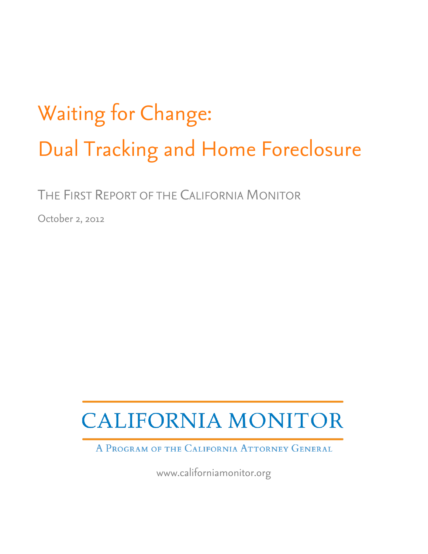# Waiting for Change: Dual Tracking and Home Foreclosure

THE FIRST REPORT OF THE CALIFORNIA MONITOR

October 2, 2012

## **CALIFORNIA MONITOR**

A PROGRAM OF THE CALIFORNIA ATTORNEY GENERAL

www.californiamonitor.org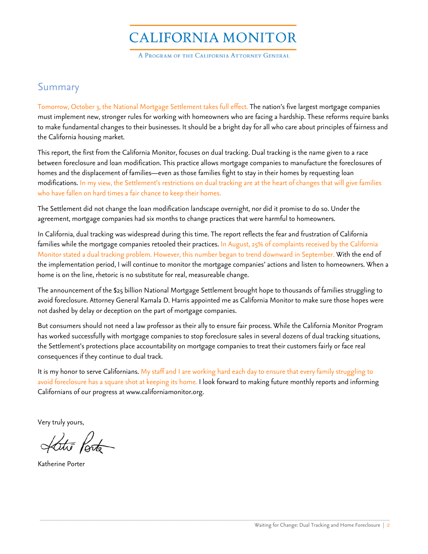## **CALIFORNIA MONITOR**

A PROGRAM OF THE CALIFORNIA ATTORNEY GENERAL

#### Summary

Tomorrow, October 3, the National Mortgage Settlement takes full effect. The nation's five largest mortgage companies must implement new, stronger rules for working with homeowners who are facing a hardship. These reforms require banks to make fundamental changes to their businesses. It should be a bright day for all who care about principles of fairness and the California housing market.

This report, the first from the California Monitor, focuses on dual tracking. Dual tracking is the name given to a race between foreclosure and loan modification. This practice allows mortgage companies to manufacture the foreclosures of homes and the displacement of families—even as those families fight to stay in their homes by requesting loan modifications. In my view, the Settlement's restrictions on dual tracking are at the heart of changes that will give families who have fallen on hard times a fair chance to keep their homes.

The Settlement did not change the loan modification landscape overnight, nor did it promise to do so. Under the agreement, mortgage companies had six months to change practices that were harmful to homeowners.

In California, dual tracking was widespread during this time. The report reflects the fear and frustration of California families while the mortgage companies retooled their practices. In August, 25% of complaints received by the California Monitor stated a dual tracking problem. However, this number began to trend downward in September. With the end of the implementation period, I will continue to monitor the mortgage companies' actions and listen to homeowners. When a home is on the line, rhetoric is no substitute for real, measureable change.

The announcement of the \$25 billion National Mortgage Settlement brought hope to thousands of families struggling to avoid foreclosure. Attorney General Kamala D. Harris appointed me as California Monitor to make sure those hopes were not dashed by delay or deception on the part of mortgage companies.

But consumers should not need a law professor as their ally to ensure fair process. While the California Monitor Program has worked successfully with mortgage companies to stop foreclosure sales in several dozens of dual tracking situations, the Settlement's protections place accountability on mortgage companies to treat their customers fairly or face real consequences if they continue to dual track.

It is my honor to serve Californians. My staff and I are working hard each day to ensure that every family struggling to avoid foreclosure has a square shot at keeping its home. I look forward to making future monthly reports and informing Californians of our progress at www.californiamonitor.org.

\_\_\_\_\_\_\_\_\_\_\_\_\_\_\_\_\_\_\_\_\_\_\_\_\_\_\_\_\_\_\_\_\_\_\_\_\_\_\_\_\_\_\_\_\_\_\_\_\_\_\_\_\_\_\_\_\_\_\_\_\_\_\_\_\_\_\_\_\_\_\_\_\_\_\_\_\_\_\_\_\_\_\_\_\_\_\_\_\_\_\_\_\_\_\_\_\_\_\_\_\_\_\_\_\_\_\_\_\_\_\_\_\_\_

Very truly yours,

Latie Porte

Katherine Porter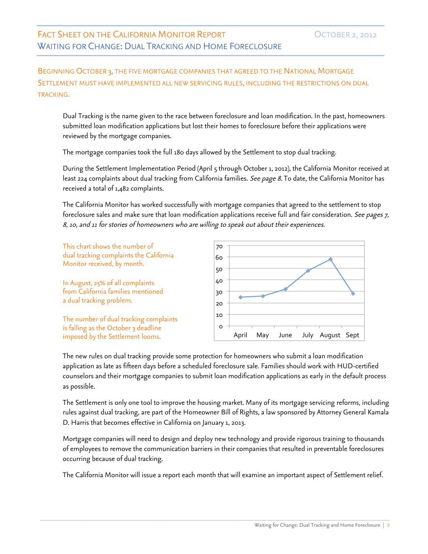BEGINNING OCTOBER 3, THE FIVE MORTGAGE COMPANIES THAT AGREED TO THE NATIONAL MORTGAGE SETTLEMENT MUST HAVE IMPLEMENTED ALL NEW SERVICING RULES, INCLUDING THE RESTRICTIONS ON DUAL TRACKING.

Dual Tracking is the name given to the race between foreclosure and loan modification. In the past, homeowners submitted loan modification applications but lost their homes to foreclosure before their applications were reviewed by the mortgage companies.

The mortgage companies took the full 180 days allowed by the Settlement to stop dual tracking.

During the Settlement Implementation Period (April 5 through October 1, 2012), the California Monitor received at least 224 complaints about dual tracking from California families. See page 8. To date, the California Monitor has received a total of 1,482 complaints.

The California Monitor has worked successfully with mortgage companies that agreed to the settlement to stop foreclosure sales and make sure that loan modification applications receive full and fair consideration. *See pages 7,* 8, 10, and 11 for stories of homeowners who are willing to speak out about their experiences.

This chart shows the number of dual tracking complaints the California Monitor received, by month.

In August, 25% of all complaints from California families mentioned a dual tracking problem.

The number of dual tracking complaints is falling as the October 3 deadline imposed by the Settlement looms.



The new rules on dual tracking provide some protection for homeowners who submit a loan modification application as late as fifteen days before a scheduled foreclosure sale. Families should work with HUD-certified counselors and their mortgage companies to submit loan modification applications as early in the default process as possible.

The Settlement is only one tool to improve the housing market. Many of its mortgage servicing reforms, including rules against dual tracking, are part of the Homeowner Bill of Rights, a law sponsored by Attorney General Kamala D. Harris that becomes effective in California on January 1, 2013.

Mortgage companies will need to design and deploy new technology and provide rigorous training to thousands of employees to remove the communication barriers in their companies that resulted in preventable foreclosures occurring because of dual tracking.

The California Monitor will issue a report each month that will examine an important aspect of Settlement relief.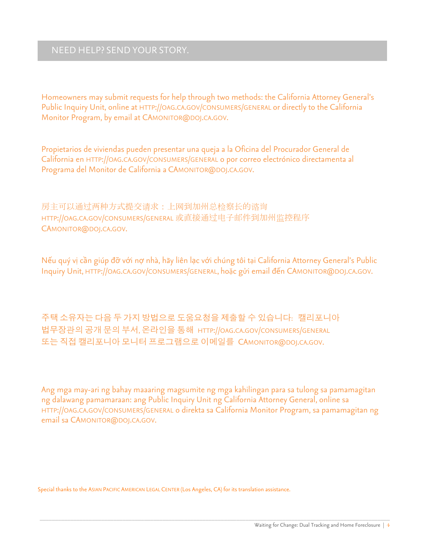#### NEED HELP? SEND YOUR STORY.

Homeowners may submit requests for help through two methods: the California Attorney General's Public Inquiry Unit, online at HTTP://OAG.CA.GOV/CONSUMERS/GENERAL or directly to the California Monitor Program, by email at CAMONITOR@DOJ.CA.GOV.

Propietarios de viviendas pueden presentar una queja a la Oficina del Procurador General de California en HTTP://OAG.CA.GOV/CONSUMERS/GENERAL o por correo electrónico directamenta al Programa del Monitor de California a CAMONITOR@DOJ.CA.GOV.

房主可以通过两种方式提交请求:上网到加州总检察长的谘询 HTTP://OAG.CA.GOV/CONSUMERS/GENERAL 或直接通过电子邮件到加州监控程序 CAMONITOR@DOJ.CA.GOV.

Nếu quý vị cần giúp đỡ với nợ nhà, hãy liên lạc với chúng tôi tại California Attorney General's Public Inquiry Unit, HTTP://OAG.CA.GOV/CONSUMERS/GENERAL, hoặc gửi email đến CAMONITOR@DOJ.CA.GOV.

주택 소유자는 다음 두 가지 방법으로 도움요청을 제출할 수 있습니다: 캘리포니아 법무장관의 공개 문의 부서, 온라인을 통해 HTTP://OAG.CA.GOV/CONSUMERS/GENERAL 또는 직접 캘리포니아 모니터 프로그램으로 이메일를 CAMONITOR@DOJ.CA.GOV.

Ang mga may-ari ng bahay maaaring magsumite ng mga kahilingan para sa tulong sa pamamagitan ng dalawang pamamaraan: ang Public Inquiry Unit ng California Attorney General, online sa HTTP://OAG.CA.GOV/CONSUMERS/GENERAL o direkta sa California Monitor Program, sa pamamagitan ng email sa CAMONITOR@DOJ.CA.GOV.

Special thanks to the ASIAN PACIFIC AMERICAN LEGAL CENTER (Los Angeles, CA) for its translation assistance.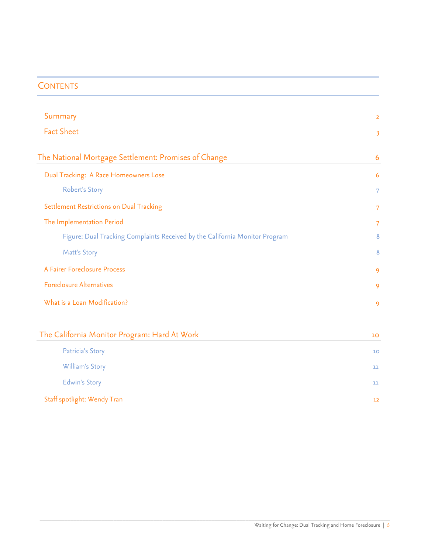#### **CONTENTS**

| Summary                                                                     | $\overline{2}$ |
|-----------------------------------------------------------------------------|----------------|
| <b>Fact Sheet</b>                                                           | 3              |
| The National Mortgage Settlement: Promises of Change                        | 6              |
| Dual Tracking: A Race Homeowners Lose                                       | $\overline{6}$ |
| <b>Robert's Story</b>                                                       | 7              |
| Settlement Restrictions on Dual Tracking                                    | 7              |
| The Implementation Period                                                   | 7              |
| Figure: Dual Tracking Complaints Received by the California Monitor Program | 8              |
| Matt's Story                                                                | 8              |
| A Fairer Foreclosure Process                                                | 9              |
| <b>Foreclosure Alternatives</b>                                             | 9              |
| What is a Loan Modification?                                                | 9              |
| The California Monitor Program: Hard At Work                                | 10             |
| Patricia's Story                                                            | 10             |
| William's Story                                                             | 11             |
| <b>Edwin's Story</b>                                                        | 11             |
| Staff spotlight: Wendy Tran                                                 | 12             |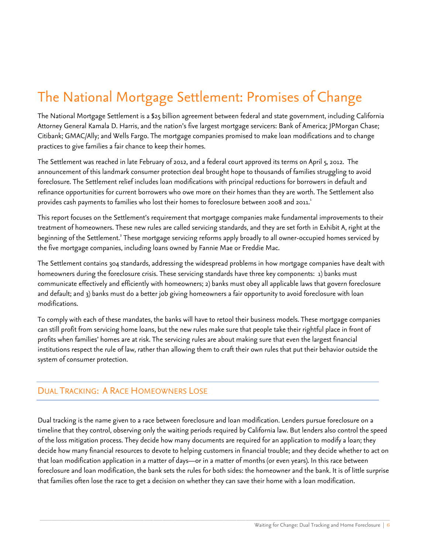## The National Mortgage Settlement: Promises of Change

The National Mortgage Settlement is a \$25 billion agreement between federal and state government, including California Attorney General Kamala D. Harris, and the nation's five largest mortgage servicers: Bank of America; JPMorgan Chase; Citibank; GMAC/Ally; and Wells Fargo. The mortgage companies promised to make loan modifications and to change practices to give families a fair chance to keep their homes.

The Settlement was reached in late February of 2012, and a federal court approved its terms on April 5, 2012. The announcement of this landmark consumer protection deal brought hope to thousands of families struggling to avoid foreclosure. The Settlement relief includes loan modifications with principal reductions for borrowers in default and refinance opportunities for current borrowers who owe more on their homes than they are worth. The Settlement also provides cash payments to families who lost their homes to foreclosure between 2008 and 2011.<sup>1</sup>

This report focuses on the Settlement's requirement that mortgage companies make fundamental improvements to their treatment of homeowners. These new rules are called servicing standards, and they are set forth in Exhibit A, right at the beginning of the Settlement.<sup>2</sup> These mortgage servicing reforms apply broadly to all owner-occupied homes serviced by the five mortgage companies, including loans owned by Fannie Mae or Freddie Mac.

The Settlement contains 304 standards, addressing the widespread problems in how mortgage companies have dealt with homeowners during the foreclosure crisis. These servicing standards have three key components: 1) banks must communicate effectively and efficiently with homeowners; 2) banks must obey all applicable laws that govern foreclosure and default; and 3) banks must do a better job giving homeowners a fair opportunity to avoid foreclosure with loan modifications.

To comply with each of these mandates, the banks will have to retool their business models. These mortgage companies can still profit from servicing home loans, but the new rules make sure that people take their rightful place in front of profits when families' homes are at risk. The servicing rules are about making sure that even the largest financial institutions respect the rule of law, rather than allowing them to craft their own rules that put their behavior outside the system of consumer protection.

#### DUAL TRACKING: A RACE HOMEOWNERS LOSE

Dual tracking is the name given to a race between foreclosure and loan modification. Lenders pursue foreclosure on a timeline that they control, observing only the waiting periods required by California law. But lenders also control the speed of the loss mitigation process. They decide how many documents are required for an application to modify a loan; they decide how many financial resources to devote to helping customers in financial trouble; and they decide whether to act on that loan modification application in a matter of days—or in a matter of months (or even years). In this race between foreclosure and loan modification, the bank sets the rules for both sides: the homeowner and the bank. It is of little surprise that families often lose the race to get a decision on whether they can save their home with a loan modification.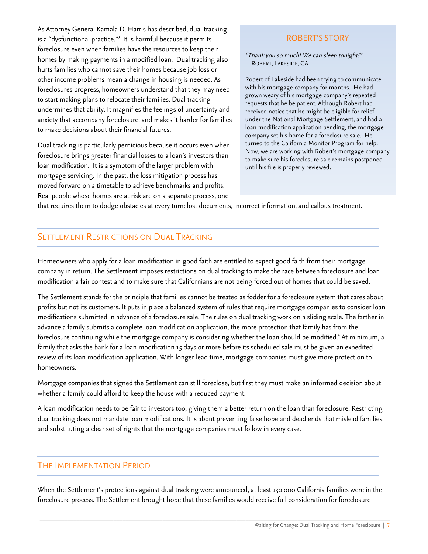As Attorney General Kamala D. Harris has described, dual tracking is a "dysfunctional practice."<sup>3</sup> It is harmful because it permits foreclosure even when families have the resources to keep their homes by making payments in a modified loan. Dual tracking also hurts families who cannot save their homes because job loss or other income problems mean a change in housing is needed. As foreclosures progress, homeowners understand that they may need to start making plans to relocate their families. Dual tracking undermines that ability. It magnifies the feelings of uncertainty and nxiety that accompany foreclosure, and makes it harder for families a to make decisions about their financial futures.

Dual tracking is particularly pernicious because it occurs even when foreclosure brings greater financial losses to a loan's investors than loan modification. It is a symptom of the larger problem with mortgage servicing. In the past, the loss mitigation process has moved forward on a timetable to achieve benchmarks and profits. Real people whose homes are at risk are on a separate process, one

#### ROBERT'S STORY

"Thank you so much! We can sleep tonight!" —ROBERT, LAKESIDE, CA

Robert of Lakeside had been trying to communicate with his mortgage company for months. He had grown weary of his mortgage company's repeated requests that he be patient. Although Robert had received notice that he might be eligible for relief under the National Mortgage Settlement, and had a loan modification application pending, the mortgage company set his home for a foreclosure sale. He turned to the California Monitor Program for help. Now, we are working with Robert's mortgage company to make sure his foreclosure sale remains postponed until his file is properly reviewed.

hat requires them to dodge obstacles at every turn: lost documents, incorrect information, and callous treatment. t

#### SETTLEMENT RESTRICTIONS ON DUAL TRACKING

Homeowners who apply for a loan modification in good faith are entitled to expect good faith from their mortgage company in return. The Settlement imposes restrictions on dual tracking to make the race between foreclosure and loan modification a fair contest and to make sure that Californians are not being forced out of homes that could be saved.

The Settlement stands for the principle that families cannot be treated as fodder for a foreclosure system that cares about profits but not its customers. It puts in place a balanced system of rules that require mortgage companies to consider loan modifications submitted in advance of a foreclosure sale. The rules on dual tracking work on a sliding scale. The farther in advance a family submits a complete loan modification application, the more protection that family has from the foreclosure continuing while the mortgage company is considering whether the loan should be modified.<sup>4</sup> At minimum, a family that asks the bank for a loan modification 15 days or more before its scheduled sale must be given an expedited review of its loan modification application. With longer lead time, mortgage companies must give more protection to homeowners.

Mortgage companies that signed the Settlement can still foreclose, but first they must make an informed decision about whether a family could afford to keep the house with a reduced payment.

A loan modification needs to be fair to investors too, giving them a better return on the loan than foreclosure. Restricting dual tracking does not mandate loan modifications. It is about preventing false hope and dead ends that mislead families, and substituting a clear set of rights that the mortgage companies must follow in every case.

#### THE IMPLEMENTATION PERIOD

When the Settlement's protections against dual tracking were announced, at least 130,000 California families were in the foreclosure process. The Settlement brought hope that these families would receive full consideration for foreclosure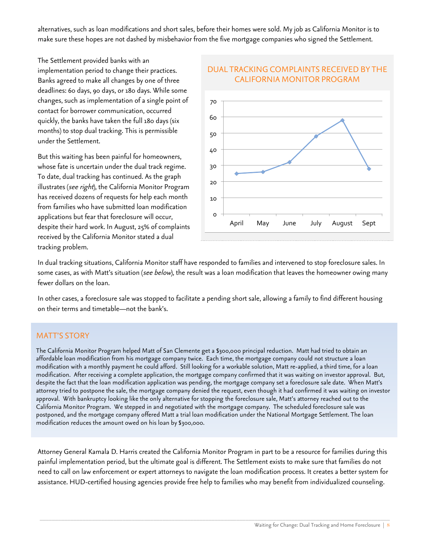alternatives, such as loan modifications and short sales, before their homes were sold. My job as California Monitor is to make sure these hopes are not dashed by misbehavior from the five mortgage companies who signed the Settlement.

The Settlement provided banks with an implementation period to change their practices. Banks agreed to make all changes by one of three deadlines: 60 days, 90 days, or 180 days. While some changes, such as implementation of a single point of contact for borrower communication, occurred quickly, the banks have taken the full 180 days (six months) to stop dual tracking. This is permissible under the Settlement.

But this waiting has been painful for homeowners, whose fate is uncertain under the dual track regime. To date, dual tracking has continued. As the graph illustrates (see right), the California Monitor Program has received dozens of requests for help each month from families who have submitted loan modification applications but fear that foreclosure will occur, despite their hard work. In August, 25% of complaints received by the California Monitor stated a dual tracking problem.



## DUAL TRACKING COMPLAINTS RECEIVED BY THE

In dual tracking situations, California Monitor staff have responded to families and intervened to stop foreclosure sales. In some cases, as with Matt's situation (see below), the result was a loan modification that leaves the homeowner owing many fewer dollars on the loan.

In other cases, a foreclosure sale was stopped to facilitate a pending short sale, allowing a family to find different housing on their terms and timetable—not the bank's.

#### MATT'S STORY

The California Monitor Program helped Matt of San Clemente get a \$300,000 principal reduction. Matt had tried to obtain an affordable loan modification from his mortgage company twice. Each time, the mortgage company could not structure a loan modification with a monthly payment he could afford. Still looking for a workable solution, Matt re-applied, a third time, for a loan modification. After receiving a complete application, the mortgage company confirmed that it was waiting on investor approval. But, despite the fact that the loan modification application was pending, the mortgage company set a foreclosure sale date. When Matt's attorney tried to postpone the sale, the mortgage company denied the request, even though it had confirmed it was waiting on investor approval. With bankruptcy looking like the only alternative for stopping the foreclosure sale, Matt's attorney reached out to the California Monitor Program. We stepped in and negotiated with the mortgage company. The scheduled foreclosure sale was postponed, and the mortgage company offered Matt a trial loan modification under the National Mortgage Settlement. The loan modification reduces the amount owed on his loan by \$300,000.

Attorney General Kamala D. Harris created the California Monitor Program in part to be a resource for families during this painful implementation period, but the ultimate goal is different. The Settlement exists to make sure that families do not need to call on law enforcement or expert attorneys to navigate the loan modification process. It creates a better system for assistance. HUD-certified housing agencies provide free help to families who may benefit from individualized counseling.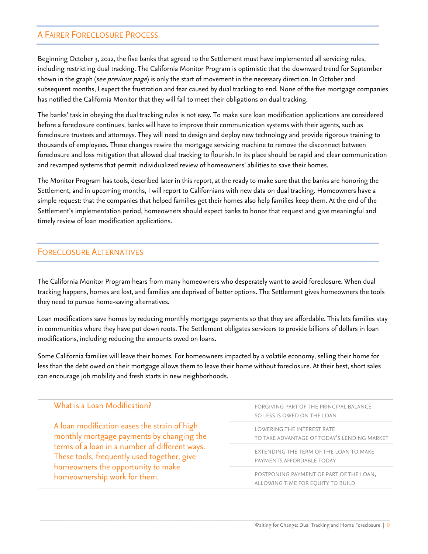#### A FAIRER FORECLOSURE PROCESS

Beginning October 3, 2012, the five banks that agreed to the Settlement must have implemented all servicing rules, including restricting dual tracking. The California Monitor Program is optimistic that the downward trend for September shown in the graph (see previous page) is only the start of movement in the necessary direction. In October and subsequent months, I expect the frustration and fear caused by dual tracking to end. None of the five mortgage companies has notified the California Monitor that they will fail to meet their obligations on dual tracking.

The banks' task in obeying the dual tracking rules is not easy. To make sure loan modification applications are considered before a foreclosure continues, banks will have to improve their communication systems with their agents, such as foreclosure trustees and attorneys. They will need to design and deploy new technology and provide rigorous training to thousands of employees. These changes rewire the mortgage servicing machine to remove the disconnect between foreclosure and loss mitigation that allowed dual tracking to flourish. In its place should be rapid and clear communication and revamped systems that permit individualized review of homeowners' abilities to save their homes.

The Monitor Program has tools, described later in this report, at the ready to make sure that the banks are honoring the Settlement, and in upcoming months, I will report to Californians with new data on dual tracking. Homeowners have a simple request: that the companies that helped families get their homes also help families keep them. At the end of the Settlement's implementation period, homeowners should expect banks to honor that request and give meaningful and timely review of loan modification applications.

#### FORECLOSURE ALTERNATIVES

The California Monitor Program hears from many homeowners who desperately want to avoid foreclosure. When dual tracking happens, homes are lost, and families are deprived of better options. The Settlement gives homeowners the tools they need to pursue home-saving alternatives.

Loan modifications save homes by reducing monthly mortgage payments so that they are affordable. This lets families stay in communities where they have put down roots. The Settlement obligates servicers to provide billions of dollars in loan modifications, including reducing the amounts owed on loans.

Some California families will leave their homes. For homeowners impacted by a volatile economy, selling their home for less than the debt owed on their mortgage allows them to leave their home without foreclosure. At their best, short sales can encourage job mobility and fresh starts in new neighborhoods.

| What is a Loan Modification?                                                                                                                                                                                                                                     | FORGIVING PART OF THE PRINCIPAL BALANCE                                      |
|------------------------------------------------------------------------------------------------------------------------------------------------------------------------------------------------------------------------------------------------------------------|------------------------------------------------------------------------------|
|                                                                                                                                                                                                                                                                  | SO LESS IS OWED ON THE LOAN                                                  |
| A loan modification eases the strain of high<br>monthly mortgage payments by changing the<br>terms of a loan in a number of different ways.<br>These tools, frequently used together, give<br>homeowners the opportunity to make<br>homeownership work for them. | LOWERING THE INTEREST RATE<br>TO TAKE ADVANTAGE OF TODAY'S LENDING MARKET    |
|                                                                                                                                                                                                                                                                  | EXTENDING THE TERM OF THE LOAN TO MAKE<br>PAYMENTS AFFORDABLE TODAY          |
|                                                                                                                                                                                                                                                                  | POSTPONING PAYMENT OF PART OF THE LOAN,<br>ALLOWING TIME FOR EQUITY TO BUILD |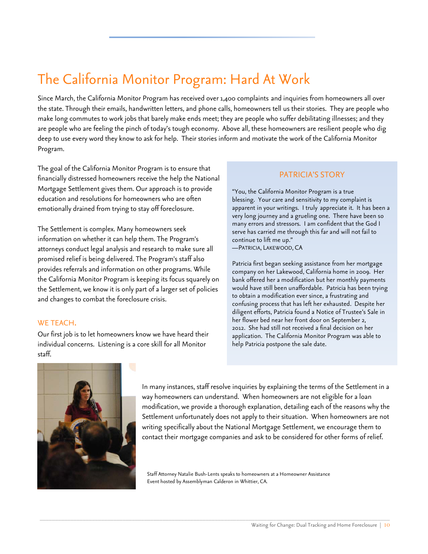## The California Monitor Program: Hard At Work

Since March, the California Monitor Program has received over 1,400 complaints and inquiries from homeowners all over the state. Through their emails, handwritten letters, and phone calls, homeowners tell us their stories. They are people who make long commutes to work jobs that barely make ends meet; they are people who suffer debilitating illnesses; and they are people who are feeling the pinch of today's tough economy. Above all, these homeowners are resilient people who dig deep to use every word they know to ask for help. Their stories inform and motivate the work of the California Monitor Program.

The goal of the California Monitor Program is to ensure that financially distressed homeowners receive the help the National Mortgage Settlement gives them. Our approach is to provide education and resolutions for homeowners who are often emotionally drained from trying to stay off foreclosure.

The Settlement is complex. Many homeowners seek information on whether it can help them. The Program's attorneys conduct legal analysis and research to make sure all promised relief is being delivered. The Program's staff also provides referrals and information on other programs. While the California Monitor Program is keeping its focus squarely on the Settlement, we know it is only part of a larger set of policies and changes to combat the foreclosure crisis.

#### WE TEACH.

Our first job is to let homeowners know we have heard their individual concerns. Listening is a core skill for all Monitor staff.

#### PATRICIA'S STORY

"You, the California Monitor Program is a true blessing. Your care and sensitivity to my complaint is apparent in your writings. I truly appreciate it. It has been a very long journey and a grueling one. There have been so many errors and stressors. I am confident that the God I serve has carried me through this far and will not fail to continue to lift me up." —PATRICIA, LAKEWOOD, CA

Patricia first began seeking assistance from her mortgage company on her Lakewood, California home in 2009. Her bank offered her a modification but her monthly payments would have still been unaffordable. Patricia has been trying to obtain a modification ever since, a frustrating and confusing process that has left her exhausted. Despite her diligent efforts, Patricia found a Notice of Trustee's Sale in her flower bed near her front door on September 2, 2012. She had still not received a final decision on her application. The California Monitor Program was able to help Patricia postpone the sale date.



In many instances, staff resolve inquiries by explaining the terms of the Settlement in a way homeowners can understand. When homeowners are not eligible for a loan modification, we provide a thorough explanation, detailing each of the reasons why the Settlement unfortunately does not apply to their situation. When homeowners are not writing specifically about the National Mortgage Settlement, we encourage them to contact their mortgage companies and ask to be considered for other forms of relief.

Staff Attorney Natalie Bush-Lents speaks to homeowners at a Homeowner Assistance Event hosted by Assemblyman Calderon in Whittier, CA.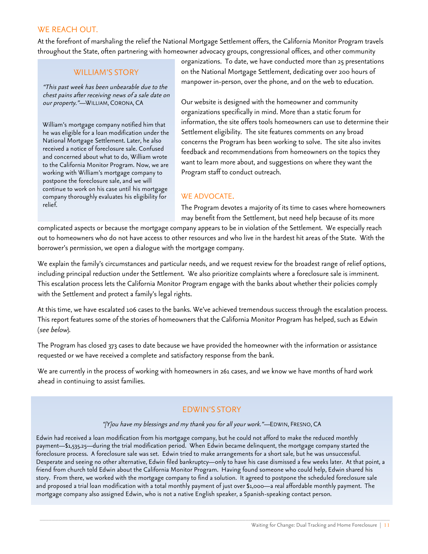#### WE REACH OUT.

At the forefront of marshaling the relief the National Mortgage Settlement offers, the California Monitor Program travels throughout the State, often partnering with homeowner advocacy groups, congressional offices, and other community

#### WILLIAM'S STORY

"This past week has been unbearable due to the chest pains after receiving news of a sale date on our property."—WILLIAM, CORONA, CA

William's mortgage company notified him that he was eligible for a loan modification under the National Mortgage Settlement. Later, he also received a notice of foreclosure sale. Confused and concerned about what to do, William wrote to the California Monitor Program. Now, we are working with William's mortgage company to postpone the foreclosure sale, and we will continue to work on his case until his mortgage company thoroughly evaluates his eligibility for relief.

organizations. To date, we have conducted more than 25 presentations on the National Mortgage Settlement, dedicating over 200 hours of manpower in-person, over the phone, and on the web to education.

Our website is designed with the homeowner and community organizations specifically in mind. More than a static forum for information, the site offers tools homeowners can use to determine their Settlement eligibility. The site features comments on any broad concerns the Program has been working to solve. The site also invites feedback and recommendations from homeowners on the topics they want to learn more about, and suggestions on where they want the Program staff to conduct outreach.

#### WE ADVOCATE.

The Program devotes a majority of its time to cases where homeowners may benefit from the Settlement, but need help because of its more

complicated aspects or because the mortgage company appears to be in violation of the Settlement. We especially reach out to homeowners who do not have access to other resources and who live in the hardest hit areas of the State. With the borrower's permission, we open a dialogue with the mortgage company.

We explain the family's circumstances and particular needs, and we request review for the broadest range of relief options, including principal reduction under the Settlement. We also prioritize complaints where a foreclosure sale is imminent. This escalation process lets the California Monitor Program engage with the banks about whether their policies comply with the Settlement and protect a family's legal rights.

At this time, we have escalated 106 cases to the banks. We've achieved tremendous success through the escalation process. This report features some of the stories of homeowners that the California Monitor Program has helped, such as Edwin (see below).

The Program has closed 373 cases to date because we have provided the homeowner with the information or assistance requested or we have received a complete and satisfactory response from the bank.

We are currently in the process of working with homeowners in 261 cases, and we know we have months of hard work ahead in continuing to assist families.

#### EDWIN'S STORY

#### "[Y]ou have my blessings and my thank you for all your work."—EDWIN, FRESNO, CA

Edwin had received a loan modification from his mortgage company, but he could not afford to make the reduced monthly payment—\$1,535.25—during the trial modification period. When Edwin became delinquent, the mortgage company started the foreclosure process. A foreclosure sale was set. Edwin tried to make arrangements for a short sale, but he was unsuccessful. Desperate and seeing no other alternative, Edwin filed bankruptcy—only to have his case dismissed a few weeks later. At that point, a friend from church told Edwin about the California Monitor Program. Having found someone who could help, Edwin shared his story. From there, we worked with the mortgage company to find a solution. It agreed to postpone the scheduled foreclosure sale and proposed a trial loan modification with a total monthly payment of just over \$1,000—a real affordable monthly payment. The mortgage company also assigned Edwin, who is not a native English speaker, a Spanish-speaking contact person.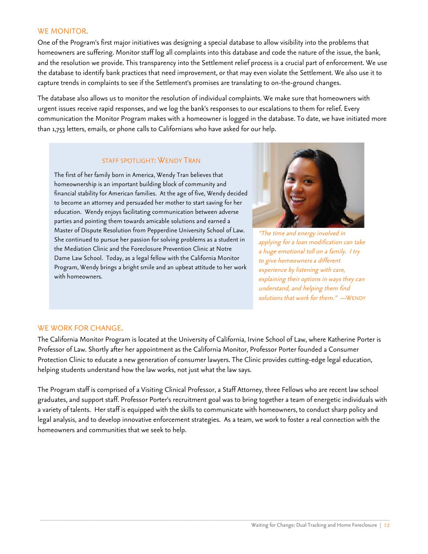#### WE MONITOR.

One of the Program's first major initiatives was designing a special database to allow visibility into the problems that homeowners are suffering. Monitor staff log all complaints into this database and code the nature of the issue, the bank, and the resolution we provide. This transparency into the Settlement relief process is a crucial part of enforcement. We use the database to identify bank practices that need improvement, or that may even violate the Settlement. We also use it to capture trends in complaints to see if the Settlement's promises are translating to on-the-ground changes.

The database also allows us to monitor the resolution of individual complaints. We make sure that homeowners with urgent issues receive rapid responses, and we log the bank's responses to our escalations to them for relief. Every communication the Monitor Program makes with a homeowner is logged in the database. To date, we have initiated more than 1,753 letters, emails, or phone calls to Californians who have asked for our help.

#### STAFF SPOTLIGHT: WENDY TRAN

The first of her family born in America, Wendy Tran believes that homeownership is an important building block of community and financial stability for American families. At the age of five, Wendy decided to become an attorney and persuaded her mother to start saving for her education. Wendy enjoys facilitating communication between adverse parties and pointing them towards amicable solutions and earned a Master of Dispute Resolution from Pepperdine University School of Law. She continued to pursue her passion for solving problems as a student in the Mediation Clinic and the Foreclosure Prevention Clinic at Notre Dame Law School. Today, as a legal fellow with the California Monitor Program, Wendy brings a bright smile and an upbeat attitude to her work with homeowners.



"The time and energy involved in applying for a loan modification can take a huge emotional toll on a family. I try to give homeowners a different experience by listening with care, explaining their options in ways they can understand, and helping them find solutions that work for them." —WENDY

#### WE WORK FOR CHANGE.

The California Monitor Program is located at the University of California, Irvine School of Law, where Katherine Porter is Professor of Law. Shortly after her appointment as the California Monitor, Professor Porter founded a Consumer Protection Clinic to educate a new generation of consumer lawyers. The Clinic provides cutting-edge legal education, helping students understand how the law works, not just what the law says.

The Program staff is comprised of a Visiting Clinical Professor, a Staff Attorney, three Fellows who are recent law school graduates, and support staff. Professor Porter's recruitment goal was to bring together a team of energetic individuals with a variety of talents. Her staff is equipped with the skills to communicate with homeowners, to conduct sharp policy and legal analysis, and to develop innovative enforcement strategies. As a team, we work to foster a real connection with the homeowners and communities that we seek to help.